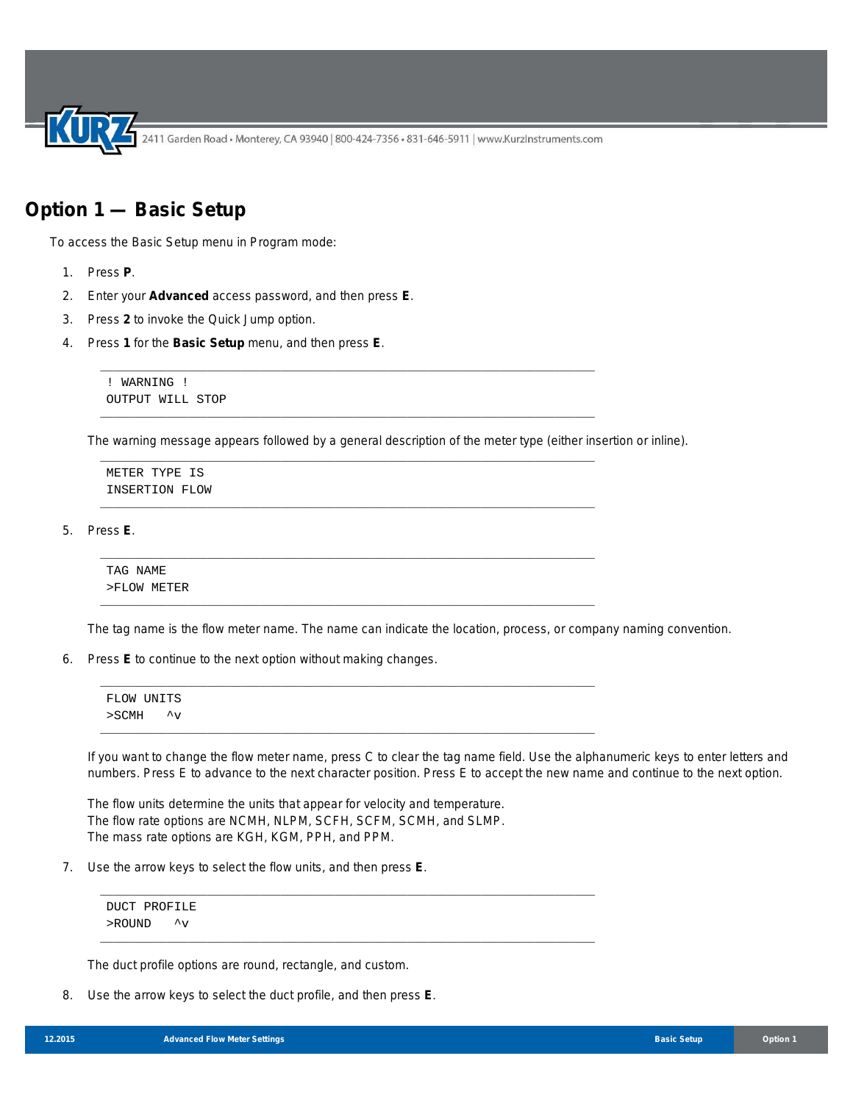## **Option 1 — Basic Setup**

To access the Basic Setup menu in Program mode:

- 1. Press **P**.
- 2. Enter your **Advanced** access password, and then press **E**.
- 3. Press **2** to invoke the Quick Jump option.
- 4. Press **1** for the **Basic Setup** menu, and then press **E**.

! WARNING ! OUTPUT WILL STOP

The warning message appears followed by a general description of the meter type (either insertion or inline).

\_\_\_\_\_\_\_\_\_\_\_\_\_\_\_\_\_\_\_\_\_\_\_\_\_\_\_\_\_\_\_\_\_\_\_\_\_\_\_\_\_\_\_\_\_\_\_\_\_\_\_\_\_\_\_\_\_\_\_\_\_\_\_\_\_\_\_\_\_\_\_\_\_\_

\_\_\_\_\_\_\_\_\_\_\_\_\_\_\_\_\_\_\_\_\_\_\_\_\_\_\_\_\_\_\_\_\_\_\_\_\_\_\_\_\_\_\_\_\_\_\_\_\_\_\_\_\_\_\_\_\_\_\_\_\_\_\_\_\_\_\_\_\_\_\_\_\_\_

\_\_\_\_\_\_\_\_\_\_\_\_\_\_\_\_\_\_\_\_\_\_\_\_\_\_\_\_\_\_\_\_\_\_\_\_\_\_\_\_\_\_\_\_\_\_\_\_\_\_\_\_\_\_\_\_\_\_\_\_\_\_\_\_\_\_\_\_\_\_\_\_\_\_

\_\_\_\_\_\_\_\_\_\_\_\_\_\_\_\_\_\_\_\_\_\_\_\_\_\_\_\_\_\_\_\_\_\_\_\_\_\_\_\_\_\_\_\_\_\_\_\_\_\_\_\_\_\_\_\_\_\_\_\_\_\_\_\_\_\_\_\_\_\_\_\_\_\_

\_\_\_\_\_\_\_\_\_\_\_\_\_\_\_\_\_\_\_\_\_\_\_\_\_\_\_\_\_\_\_\_\_\_\_\_\_\_\_\_\_\_\_\_\_\_\_\_\_\_\_\_\_\_\_\_\_\_\_\_\_\_\_\_\_\_\_\_\_\_\_\_\_\_

\_\_\_\_\_\_\_\_\_\_\_\_\_\_\_\_\_\_\_\_\_\_\_\_\_\_\_\_\_\_\_\_\_\_\_\_\_\_\_\_\_\_\_\_\_\_\_\_\_\_\_\_\_\_\_\_\_\_\_\_\_\_\_\_\_\_\_\_\_\_\_\_\_\_

METER TYPE IS INSERTION FLOW

5. Press **E**.

TAG NAME >FLOW METER

The tag name is the flow meter name. The name can indicate the location, process, or company naming convention.

6. Press **E** to continue to the next option without making changes.

```
__________________________________________________________________________
FLOW UNITS
>SCMH ^v
__________________________________________________________________________
```
\_\_\_\_\_\_\_\_\_\_\_\_\_\_\_\_\_\_\_\_\_\_\_\_\_\_\_\_\_\_\_\_\_\_\_\_\_\_\_\_\_\_\_\_\_\_\_\_\_\_\_\_\_\_\_\_\_\_\_\_\_\_\_\_\_\_\_\_\_\_\_\_\_\_

\_\_\_\_\_\_\_\_\_\_\_\_\_\_\_\_\_\_\_\_\_\_\_\_\_\_\_\_\_\_\_\_\_\_\_\_\_\_\_\_\_\_\_\_\_\_\_\_\_\_\_\_\_\_\_\_\_\_\_\_\_\_\_\_\_\_\_\_\_\_\_\_\_\_

If you want to change the flow meter name, press C to clear the tag name field. Use the alphanumeric keys to enter letters and numbers. Press E to advance to the next character position. Press E to accept the new name and continue to the next option.

The flow units determine the units that appear for velocity and temperature. The flow rate options are NCMH, NLPM, SCFH, SCFM, SCMH, and SLMP. The mass rate options are KGH, KGM, PPH, and PPM.

7. Use the arrow keys to select the flow units, and then press **E**.

DUCT PROFILE >ROUND ^v

The duct profile options are round, rectangle, and custom.

8. Use the arrow keys to select the duct profile, and then press **E**.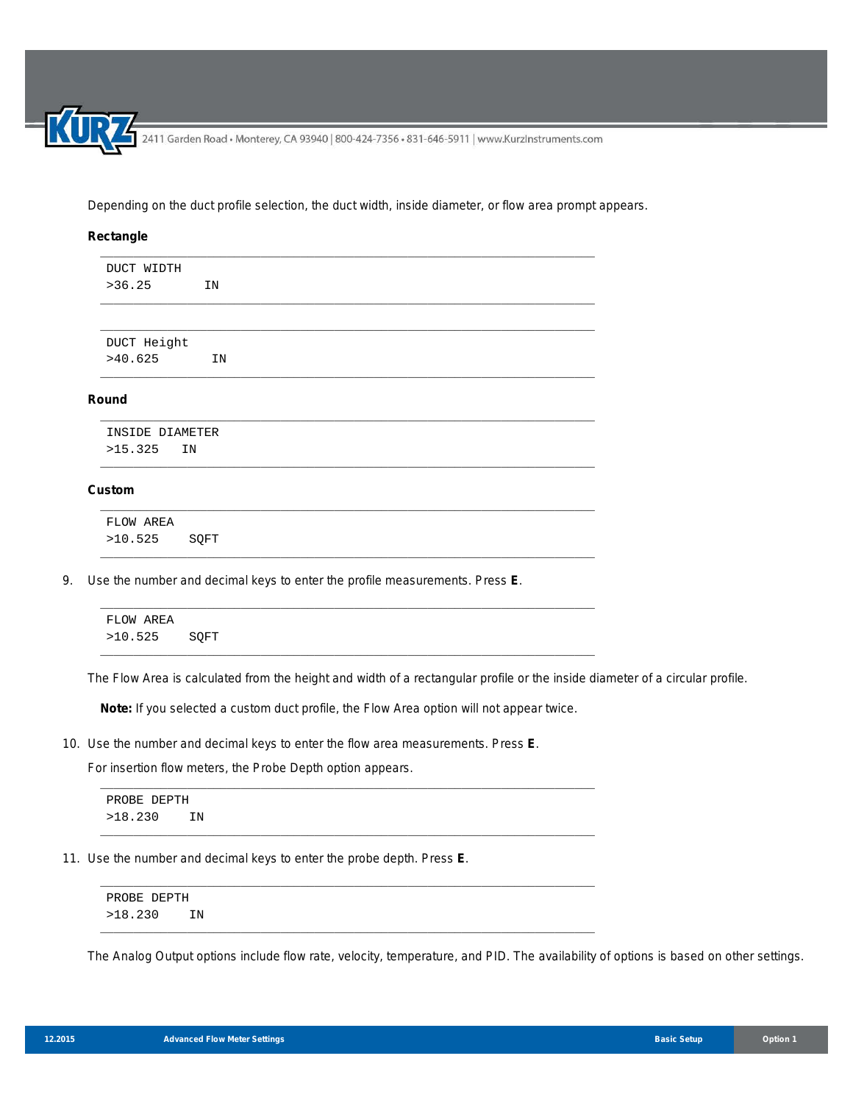Depending on the duct profile selection, the duct width, inside diameter, or flow area prompt appears.

## **Rectangle**

| DUCT WIDTH |    |  |  |
|------------|----|--|--|
| >36.25     | ΙN |  |  |

\_\_\_\_\_\_\_\_\_\_\_\_\_\_\_\_\_\_\_\_\_\_\_\_\_\_\_\_\_\_\_\_\_\_\_\_\_\_\_\_\_\_\_\_\_\_\_\_\_\_\_\_\_\_\_\_\_\_\_\_\_\_\_\_\_\_\_\_\_\_\_\_\_\_

\_\_\_\_\_\_\_\_\_\_\_\_\_\_\_\_\_\_\_\_\_\_\_\_\_\_\_\_\_\_\_\_\_\_\_\_\_\_\_\_\_\_\_\_\_\_\_\_\_\_\_\_\_\_\_\_\_\_\_\_\_\_\_\_\_\_\_\_\_\_\_\_\_\_

\_\_\_\_\_\_\_\_\_\_\_\_\_\_\_\_\_\_\_\_\_\_\_\_\_\_\_\_\_\_\_\_\_\_\_\_\_\_\_\_\_\_\_\_\_\_\_\_\_\_\_\_\_\_\_\_\_\_\_\_\_\_\_\_\_\_\_\_\_\_\_\_\_\_

\_\_\_\_\_\_\_\_\_\_\_\_\_\_\_\_\_\_\_\_\_\_\_\_\_\_\_\_\_\_\_\_\_\_\_\_\_\_\_\_\_\_\_\_\_\_\_\_\_\_\_\_\_\_\_\_\_\_\_\_\_\_\_\_\_\_\_\_\_\_\_\_\_\_

\_\_\_\_\_\_\_\_\_\_\_\_\_\_\_\_\_\_\_\_\_\_\_\_\_\_\_\_\_\_\_\_\_\_\_\_\_\_\_\_\_\_\_\_\_\_\_\_\_\_\_\_\_\_\_\_\_\_\_\_\_\_\_\_\_\_\_\_\_\_\_\_\_\_

\_\_\_\_\_\_\_\_\_\_\_\_\_\_\_\_\_\_\_\_\_\_\_\_\_\_\_\_\_\_\_\_\_\_\_\_\_\_\_\_\_\_\_\_\_\_\_\_\_\_\_\_\_\_\_\_\_\_\_\_\_\_\_\_\_\_\_\_\_\_\_\_\_\_

DUCT Height >40.625 IN

## **Round**

|         | INSIDE DIAMETER |
|---------|-----------------|
| >15.325 | ΤN              |

## **Custom**

| FLOW AREA |      |
|-----------|------|
| >10.525   | SQFT |

9. Use the number and decimal keys to enter the profile measurements. Press **E**.

| FLOW AREA    |  |
|--------------|--|
| >10.525 SQFT |  |

The Flow Area is calculated from the height and width of a rectangular profile or the inside diameter of a circular profile.

**Note:** If you selected a custom duct profile, the Flow Area option will not appear twice.

\_\_\_\_\_\_\_\_\_\_\_\_\_\_\_\_\_\_\_\_\_\_\_\_\_\_\_\_\_\_\_\_\_\_\_\_\_\_\_\_\_\_\_\_\_\_\_\_\_\_\_\_\_\_\_\_\_\_\_\_\_\_\_\_\_\_\_\_\_\_\_\_\_\_

\_\_\_\_\_\_\_\_\_\_\_\_\_\_\_\_\_\_\_\_\_\_\_\_\_\_\_\_\_\_\_\_\_\_\_\_\_\_\_\_\_\_\_\_\_\_\_\_\_\_\_\_\_\_\_\_\_\_\_\_\_\_\_\_\_\_\_\_\_\_\_\_\_\_

\_\_\_\_\_\_\_\_\_\_\_\_\_\_\_\_\_\_\_\_\_\_\_\_\_\_\_\_\_\_\_\_\_\_\_\_\_\_\_\_\_\_\_\_\_\_\_\_\_\_\_\_\_\_\_\_\_\_\_\_\_\_\_\_\_\_\_\_\_\_\_\_\_\_

\_\_\_\_\_\_\_\_\_\_\_\_\_\_\_\_\_\_\_\_\_\_\_\_\_\_\_\_\_\_\_\_\_\_\_\_\_\_\_\_\_\_\_\_\_\_\_\_\_\_\_\_\_\_\_\_\_\_\_\_\_\_\_\_\_\_\_\_\_\_\_\_\_\_

10. Use the number and decimal keys to enter the flow area measurements. Press **E**.

For insertion flow meters, the Probe Depth option appears.

```
PROBE DEPTH
>18.230 IN
```
11. Use the number and decimal keys to enter the probe depth. Press **E**.

PROBE DEPTH >18.230 IN

The Analog Output options include flow rate, velocity, temperature, and PID. The availability of options is based on other settings.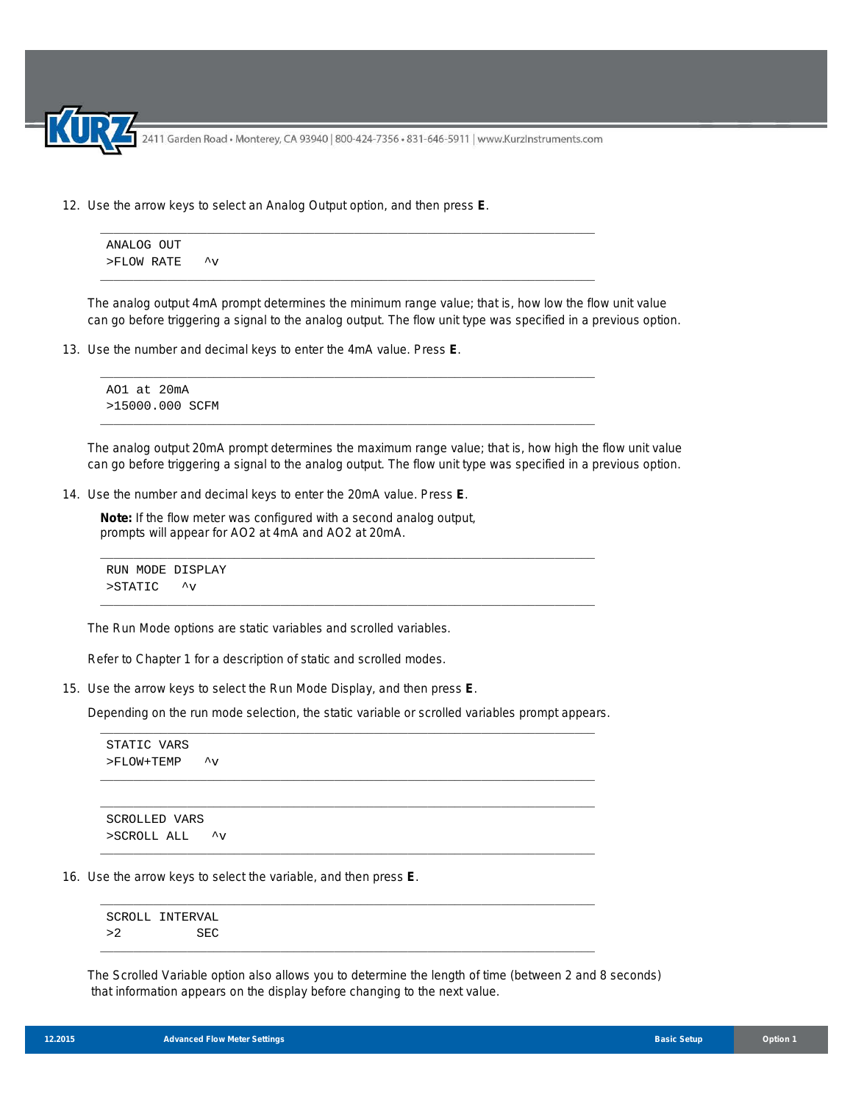12. Use the arrow keys to select an Analog Output option, and then press **E**.

ANALOG OUT

\n
$$
> \text{FLOW RATE}
$$

\n $\sim$ 

\_\_\_\_\_\_\_\_\_\_\_\_\_\_\_\_\_\_\_\_\_\_\_\_\_\_\_\_\_\_\_\_\_\_\_\_\_\_\_\_\_\_\_\_\_\_\_\_\_\_\_\_\_\_\_\_\_\_\_\_\_\_\_\_\_\_\_\_\_\_\_\_\_\_

\_\_\_\_\_\_\_\_\_\_\_\_\_\_\_\_\_\_\_\_\_\_\_\_\_\_\_\_\_\_\_\_\_\_\_\_\_\_\_\_\_\_\_\_\_\_\_\_\_\_\_\_\_\_\_\_\_\_\_\_\_\_\_\_\_\_\_\_\_\_\_\_\_\_

\_\_\_\_\_\_\_\_\_\_\_\_\_\_\_\_\_\_\_\_\_\_\_\_\_\_\_\_\_\_\_\_\_\_\_\_\_\_\_\_\_\_\_\_\_\_\_\_\_\_\_\_\_\_\_\_\_\_\_\_\_\_\_\_\_\_\_\_\_\_\_\_\_\_

\_\_\_\_\_\_\_\_\_\_\_\_\_\_\_\_\_\_\_\_\_\_\_\_\_\_\_\_\_\_\_\_\_\_\_\_\_\_\_\_\_\_\_\_\_\_\_\_\_\_\_\_\_\_\_\_\_\_\_\_\_\_\_\_\_\_\_\_\_\_\_\_\_\_

The analog output 4mA prompt determines the minimum range value; that is, how low the flow unit value can go before triggering a signal to the analog output. The flow unit type was specified in a previous option.

13. Use the number and decimal keys to enter the 4mA value. Press **E**.

```
AO1 at 20mA
>15000.000 SCFM
```
The analog output 20mA prompt determines the maximum range value; that is, how high the flow unit value can go before triggering a signal to the analog output. The flow unit type was specified in a previous option.

14. Use the number and decimal keys to enter the 20mA value. Press **E**.

**Note:** If the flow meter was configured with a second analog output, prompts will appear for AO2 at 4mA and AO2 at 20mA.

```
RUN MODE DISPLAY
>STATIC ^v
```
The Run Mode options are static variables and scrolled variables.

Refer to Chapter 1 for a description of static and scrolled modes.

15. Use the arrow keys to select the Run Mode Display, and then press **E**.

Depending on the run mode selection, the static variable or scrolled variables prompt appears. \_\_\_\_\_\_\_\_\_\_\_\_\_\_\_\_\_\_\_\_\_\_\_\_\_\_\_\_\_\_\_\_\_\_\_\_\_\_\_\_\_\_\_\_\_\_\_\_\_\_\_\_\_\_\_\_\_\_\_\_\_\_\_\_\_\_\_\_\_\_\_\_\_\_

\_\_\_\_\_\_\_\_\_\_\_\_\_\_\_\_\_\_\_\_\_\_\_\_\_\_\_\_\_\_\_\_\_\_\_\_\_\_\_\_\_\_\_\_\_\_\_\_\_\_\_\_\_\_\_\_\_\_\_\_\_\_\_\_\_\_\_\_\_\_\_\_\_\_ \_\_\_\_\_\_\_\_\_\_\_\_\_\_\_\_\_\_\_\_\_\_\_\_\_\_\_\_\_\_\_\_\_\_\_\_\_\_\_\_\_\_\_\_\_\_\_\_\_\_\_\_\_\_\_\_\_\_\_\_\_\_\_\_\_\_\_\_\_\_\_\_\_\_

\_\_\_\_\_\_\_\_\_\_\_\_\_\_\_\_\_\_\_\_\_\_\_\_\_\_\_\_\_\_\_\_\_\_\_\_\_\_\_\_\_\_\_\_\_\_\_\_\_\_\_\_\_\_\_\_\_\_\_\_\_\_\_\_\_\_\_\_\_\_\_\_\_\_

\_\_\_\_\_\_\_\_\_\_\_\_\_\_\_\_\_\_\_\_\_\_\_\_\_\_\_\_\_\_\_\_\_\_\_\_\_\_\_\_\_\_\_\_\_\_\_\_\_\_\_\_\_\_\_\_\_\_\_\_\_\_\_\_\_\_\_\_\_\_\_\_\_\_

\_\_\_\_\_\_\_\_\_\_\_\_\_\_\_\_\_\_\_\_\_\_\_\_\_\_\_\_\_\_\_\_\_\_\_\_\_\_\_\_\_\_\_\_\_\_\_\_\_\_\_\_\_\_\_\_\_\_\_\_\_\_\_\_\_\_\_\_\_\_\_\_\_\_

STATIC VARS >FLOW+TEMP ^v

SCROLLED VARS >SCROLL ALL ^v

16. Use the arrow keys to select the variable, and then press **E**.

SCROLL INTERVAL >2 SEC

The Scrolled Variable option also allows you to determine the length of time (between 2 and 8 seconds) that information appears on the display before changing to the next value.